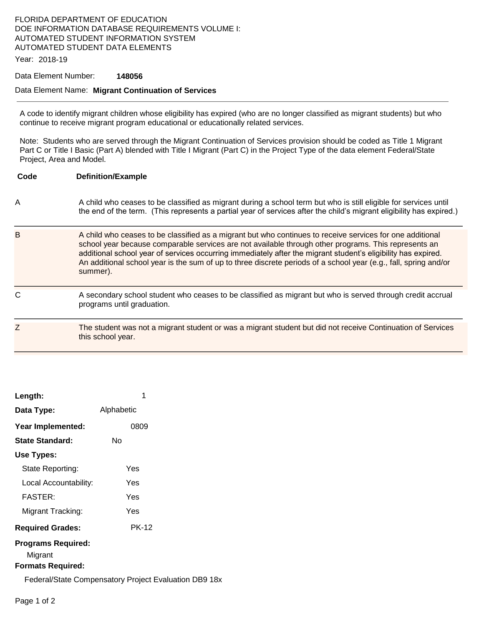# FLORIDA DEPARTMENT OF EDUCATION DOE INFORMATION DATABASE REQUIREMENTS VOLUME I: AUTOMATED STUDENT INFORMATION SYSTEM AUTOMATED STUDENT DATA ELEMENTS

Year: 2018-19

### Data Element Number: **148056**

#### Data Element Name: **Migrant Continuation of Services**

A code to identify migrant children whose eligibility has expired (who are no longer classified as migrant students) but who continue to receive migrant program educational or educationally related services.

Note: Students who are served through the Migrant Continuation of Services provision should be coded as Title 1 Migrant Part C or Title I Basic (Part A) blended with Title I Migrant (Part C) in the Project Type of the data element Federal/State Project, Area and Model.

| Code | <b>Definition/Example</b>                                                                                                                                                                                                                                                                                                                                                                                                                                          |
|------|--------------------------------------------------------------------------------------------------------------------------------------------------------------------------------------------------------------------------------------------------------------------------------------------------------------------------------------------------------------------------------------------------------------------------------------------------------------------|
| A    | A child who ceases to be classified as migrant during a school term but who is still eligible for services until<br>the end of the term. (This represents a partial year of services after the child's migrant eligibility has expired.)                                                                                                                                                                                                                           |
| B    | A child who ceases to be classified as a migrant but who continues to receive services for one additional<br>school year because comparable services are not available through other programs. This represents an<br>additional school year of services occurring immediately after the migrant student's eligibility has expired.<br>An additional school year is the sum of up to three discrete periods of a school year (e.g., fall, spring and/or<br>summer). |
| C    | A secondary school student who ceases to be classified as migrant but who is served through credit accrual<br>programs until graduation.                                                                                                                                                                                                                                                                                                                           |
| Ζ    | The student was not a migrant student or was a migrant student but did not receive Continuation of Services<br>this school year.                                                                                                                                                                                                                                                                                                                                   |

| Length:                                                   | 1            |
|-----------------------------------------------------------|--------------|
|                                                           |              |
| Data Type:                                                | Alphabetic   |
| Year Implemented:                                         | 0809         |
| State Standard:                                           | N٥           |
| Use Types:                                                |              |
| State Reporting:                                          | Yes          |
| Local Accountability:                                     | Yes          |
| <b>FASTER:</b>                                            | Yes          |
| Migrant Tracking:                                         | Yes          |
| <b>Required Grades:</b>                                   | <b>PK-12</b> |
| Programs Required:<br>Migrant<br><b>Formats Required:</b> |              |
|                                                           |              |

Federal/State Compensatory Project Evaluation DB9 18x